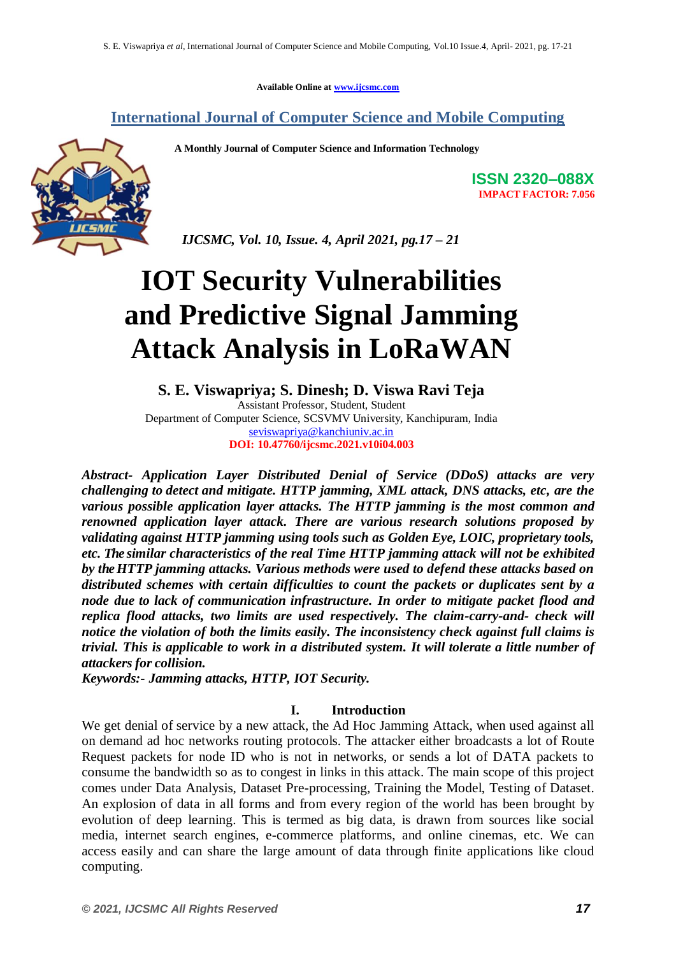**Available Online at www.ijcsmc.com**

### **International Journal of Computer Science and Mobile Computing**

 **A Monthly Journal of Computer Science and Information Technology**



**ISSN 2320–088X IMPACT FACTOR: 7.056**

 *IJCSMC, Vol. 10, Issue. 4, April 2021, pg.17 – 21*

# **IOT Security Vulnerabilities and Predictive Signal Jamming Attack Analysis in LoRaWAN**

**S. E. Viswapriya; S. Dinesh; D. Viswa Ravi Teja** Assistant Professor, Student, Student Department of Computer Science, SCSVMV University, Kanchipuram, India seviswapriya@kanchiuniv.ac.in **DOI: 10.47760/ijcsmc.2021.v10i04.003**

*Abstract- Application Layer Distributed Denial of Service (DDoS) attacks are very challenging to detect and mitigate. HTTP jamming, XML attack, DNS attacks, etc, are the various possible application layer attacks. The HTTP jamming is the most common and renowned application layer attack. There are various research solutions proposed by validating against HTTP jamming using tools such as Golden Eye, LOIC, proprietary tools, etc. The similar characteristics of the real Time HTTP jamming attack will not be exhibited by the HTTP jamming attacks. Various methods were used to defend these attacks based on distributed schemes with certain difficulties to count the packets or duplicates sent by a node due to lack of communication infrastructure. In order to mitigate packet flood and replica flood attacks, two limits are used respectively. The claim-carry-and- check will notice the violation of both the limits easily. The inconsistency check against full claims is trivial. This is applicable to work in a distributed system. It will tolerate a little number of attackers for collision.*

*Keywords:- Jamming attacks, HTTP, IOT Security.*

#### **I. Introduction**

We get denial of service by a new attack, the Ad Hoc Jamming Attack, when used against all on demand ad hoc networks routing protocols. The attacker either broadcasts a lot of Route Request packets for node ID who is not in networks, or sends a lot of DATA packets to consume the bandwidth so as to congest in links in this attack. The main scope of this project comes under Data Analysis, Dataset Pre-processing, Training the Model, Testing of Dataset. An explosion of data in all forms and from every region of the world has been brought by evolution of deep learning. This is termed as big data, is drawn from sources like social media, internet search engines, e-commerce platforms, and online cinemas, etc. We can access easily and can share the large amount of data through finite applications like cloud computing.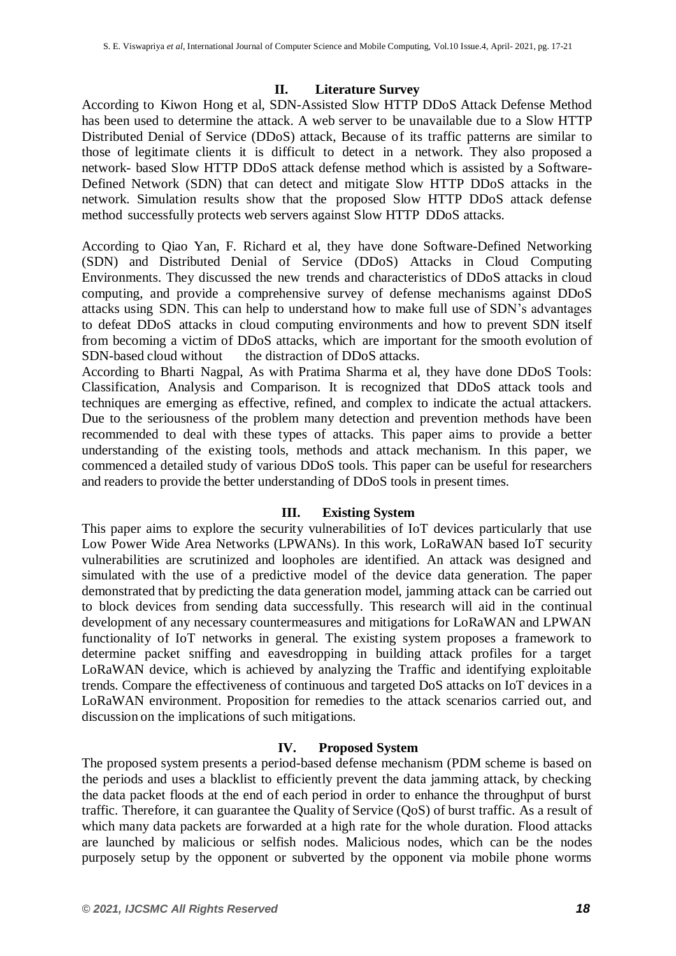#### **II. Literature Survey**

According to Kiwon Hong et al, SDN-Assisted Slow HTTP DDoS Attack Defense Method has been used to determine the attack. A web server to be unavailable due to a Slow HTTP Distributed Denial of Service (DDoS) attack, Because of its traffic patterns are similar to those of legitimate clients it is difficult to detect in a network. They also proposed a network- based Slow HTTP DDoS attack defense method which is assisted by a Software-Defined Network (SDN) that can detect and mitigate Slow HTTP DDoS attacks in the network. Simulation results show that the proposed Slow HTTP DDoS attack defense method successfully protects web servers against Slow HTTP DDoS attacks.

According to Qiao Yan, F. Richard et al, they have done Software-Defined Networking (SDN) and Distributed Denial of Service (DDoS) Attacks in Cloud Computing Environments. They discussed the new trends and characteristics of DDoS attacks in cloud computing, and provide a comprehensive survey of defense mechanisms against DDoS attacks using SDN. This can help to understand how to make full use of SDN"s advantages to defeat DDoS attacks in cloud computing environments and how to prevent SDN itself from becoming a victim of DDoS attacks, which are important for the smooth evolution of SDN-based cloud without the distraction of DDoS attacks.

According to Bharti Nagpal, As with Pratima Sharma et al, they have done DDoS Tools: Classification, Analysis and Comparison. It is recognized that DDoS attack tools and techniques are emerging as effective, refined, and complex to indicate the actual attackers. Due to the seriousness of the problem many detection and prevention methods have been recommended to deal with these types of attacks. This paper aims to provide a better understanding of the existing tools, methods and attack mechanism. In this paper, we commenced a detailed study of various DDoS tools. This paper can be useful for researchers and readers to provide the better understanding of DDoS tools in present times.

#### **III. Existing System**

This paper aims to explore the security vulnerabilities of IoT devices particularly that use Low Power Wide Area Networks (LPWANs). In this work, LoRaWAN based IoT security vulnerabilities are scrutinized and loopholes are identified. An attack was designed and simulated with the use of a predictive model of the device data generation. The paper demonstrated that by predicting the data generation model, jamming attack can be carried out to block devices from sending data successfully. This research will aid in the continual development of any necessary countermeasures and mitigations for LoRaWAN and LPWAN functionality of IoT networks in general. The existing system proposes a framework to determine packet sniffing and eavesdropping in building attack profiles for a target LoRaWAN device, which is achieved by analyzing the Traffic and identifying exploitable trends. Compare the effectiveness of continuous and targeted DoS attacks on IoT devices in a LoRaWAN environment. Proposition for remedies to the attack scenarios carried out, and discussion on the implications of such mitigations.

#### **IV. Proposed System**

The proposed system presents a period-based defense mechanism (PDM scheme is based on the periods and uses a blacklist to efficiently prevent the data jamming attack, by checking the data packet floods at the end of each period in order to enhance the throughput of burst traffic. Therefore, it can guarantee the Quality of Service (QoS) of burst traffic. As a result of which many data packets are forwarded at a high rate for the whole duration. Flood attacks are launched by malicious or selfish nodes. Malicious nodes, which can be the nodes purposely setup by the opponent or subverted by the opponent via mobile phone worms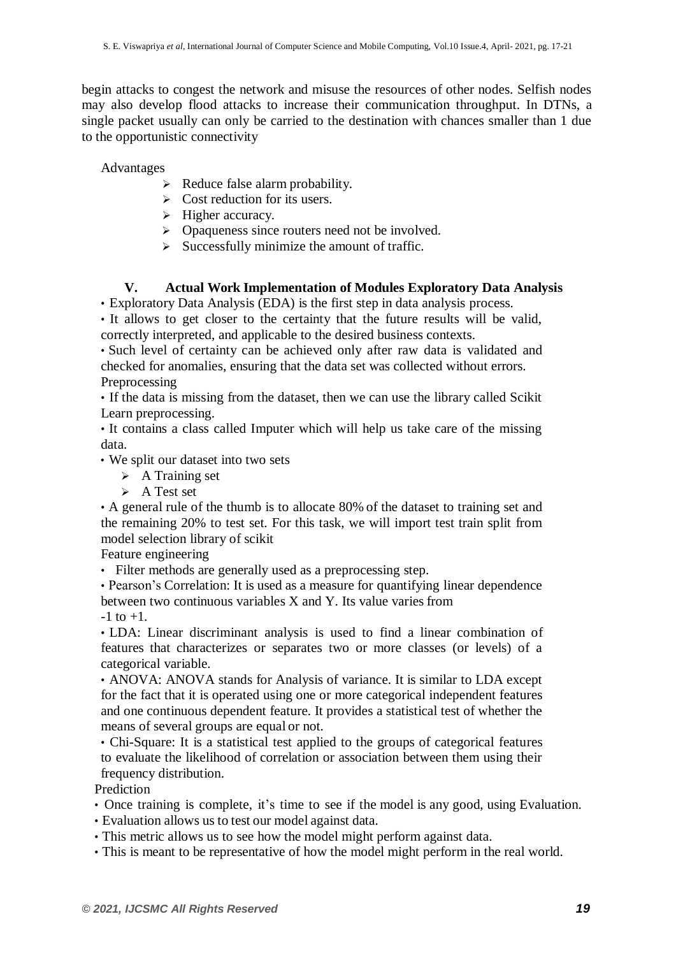begin attacks to congest the network and misuse the resources of other nodes. Selfish nodes may also develop flood attacks to increase their communication throughput. In DTNs, a single packet usually can only be carried to the destination with chances smaller than 1 due to the opportunistic connectivity

Advantages

- $\triangleright$  Reduce false alarm probability.
- $\triangleright$  Cost reduction for its users.
- $\triangleright$  Higher accuracy.
- $\triangleright$  Opaqueness since routers need not be involved.
- $\triangleright$  Successfully minimize the amount of traffic.

#### **V. Actual Work Implementation of Modules Exploratory Data Analysis**

• Exploratory Data Analysis (EDA) is the first step in data analysis process.

• It allows to get closer to the certainty that the future results will be valid, correctly interpreted, and applicable to the desired business contexts.

• Such level of certainty can be achieved only after raw data is validated and checked for anomalies, ensuring that the data set was collected without errors. Preprocessing

• If the data is missing from the dataset, then we can use the library called Scikit Learn preprocessing.

• It contains a class called Imputer which will help us take care of the missing data.

• We split our dataset into two sets

- $\triangleright$  A Training set
- $\triangleright$  A Test set

• A general rule of the thumb is to allocate 80% of the dataset to training set and the remaining 20% to test set. For this task, we will import test train split from model selection library of scikit

Feature engineering

• Filter methods are generally used as a preprocessing step.

• Pearson"s Correlation: It is used as a measure for quantifying linear dependence between two continuous variables X and Y. Its value varies from

 $-1$  to  $+1$ .

• LDA: Linear discriminant analysis is used to find a linear combination of features that characterizes or separates two or more classes (or levels) of a categorical variable.

• ANOVA: ANOVA stands for Analysis of variance. It is similar to LDA except for the fact that it is operated using one or more categorical independent features and one continuous dependent feature. It provides a statistical test of whether the means of several groups are equal or not.

• Chi-Square: It is a statistical test applied to the groups of categorical features to evaluate the likelihood of correlation or association between them using their frequency distribution.

**Prediction** 

- Once training is complete, it's time to see if the model is any good, using Evaluation.
- Evaluation allows us to test our model against data.
- This metric allows us to see how the model might perform against data.
- This is meant to be representative of how the model might perform in the real world.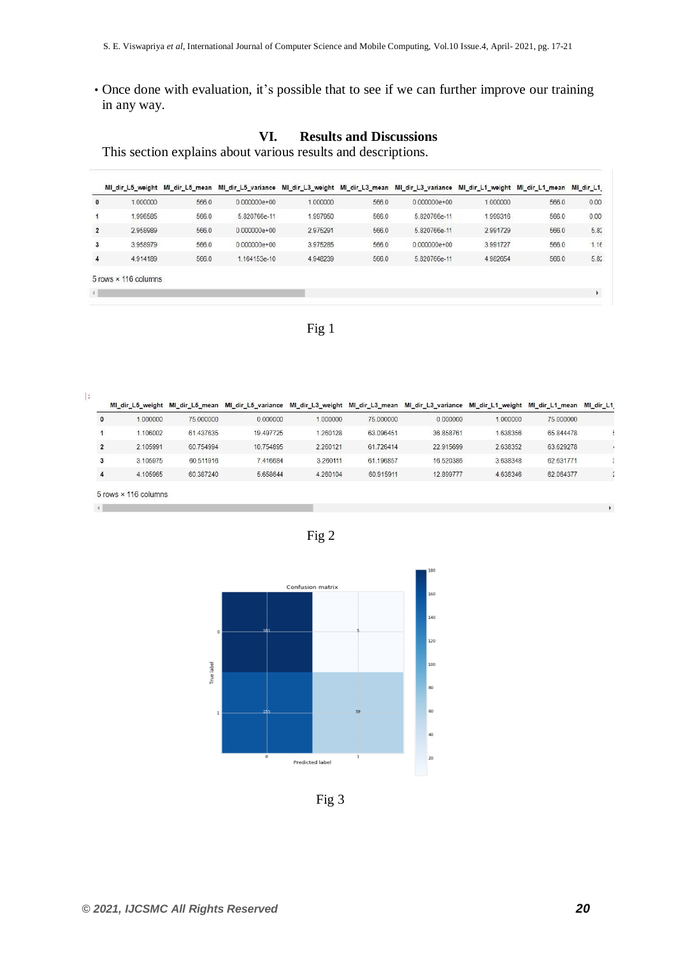• Once done with evaluation, it's possible that to see if we can further improve our training in any way.

## **VI. Results and Discussions**

This section explains about various results and descriptions.

|                |                      |       | MI_dir_L5_weight MI_dir_L5_mean MI_dir_L5_variance MI_dir_L3_weight MI_dir_L3_mean MI_dir_L3_variance MI_dir_L1_weight |          |       |                |          | MI_dir_L1_mean MI_dir_L1 |                       |
|----------------|----------------------|-------|------------------------------------------------------------------------------------------------------------------------|----------|-------|----------------|----------|--------------------------|-----------------------|
| $\mathbf{0}$   | 1.000000             | 566.0 | $0.000000e+00$                                                                                                         | 1.000000 | 566.0 | $0.000000e+00$ | 1.000000 | 566.0                    | 0.00                  |
| 1              | 996585               | 566.0 | 5.820766e-11                                                                                                           | 997950   | 566.0 | 5.820766e-11   | 999316   | 566.0                    | 0.00                  |
| $\overline{2}$ | 2.958989             | 566.0 | $0.000000e + 00$                                                                                                       | 2.975291 | 566.0 | 5.820766e-11   | 2.991729 | 566.0                    | 5.82                  |
| 3              | 3.958979             | 566.0 | $0.000000e+00$                                                                                                         | 3.975285 | 566.0 | $0.000000e+00$ | 3.991727 | 566.0                    | 1.16                  |
| 4              | 4.914189             | 566.0 | 1.164153e-10                                                                                                           | 4.948239 | 566.0 | 5.820766e-11   | 4.982654 | 566.0                    | 5.82                  |
|                | 5 rows × 116 columns |       |                                                                                                                        |          |       |                |          |                          |                       |
| $\leftarrow$   |                      |       |                                                                                                                        |          |       |                |          |                          | $\blacktriangleright$ |

Fig 1

 $\ddot{\cdot}$ 

|                | MI dir L5 weight     | MI dir L5 mean |            |          |           | MI dir L5 variance MI dir L3 weight MI dir L3 mean MI dir L3 variance | MI dir L1 weight MI dir L1 mean |           | MI dir L1 |
|----------------|----------------------|----------------|------------|----------|-----------|-----------------------------------------------------------------------|---------------------------------|-----------|-----------|
| $\mathbf{0}$   | 1.000000             | 75,000000      | 0.000000   | 1,000000 | 75,000000 | 0.000000                                                              | 1,000000                        | 75,000000 |           |
|                | 1.106002             | 61.437635      | 19 49 7725 | 1.260128 | 63 096451 | 36.858761                                                             | 1.638356                        | 65.844478 |           |
| $\overline{2}$ | 2.105991             | 60.754994      | 10.754895  | 2.260121 | 61.726414 | 22.915699                                                             | 2.638352                        | 63.629278 |           |
| 3              | 3.105975             | 60.511916      | 7.416684   | 3.260111 | 61.196857 | 16,520386                                                             | 3.638348                        | 62.631771 |           |
| 4              | 4.105965             | 60.387240      | 5.658644   | 4.260104 | 60.915911 | 12.899777                                                             | 4.638346                        | 62.064377 |           |
| $\overline{4}$ | 5 rows × 116 columns |                |            |          |           |                                                                       |                                 |           |           |
|                |                      |                |            |          |           |                                                                       |                                 |           |           |





Fig 3